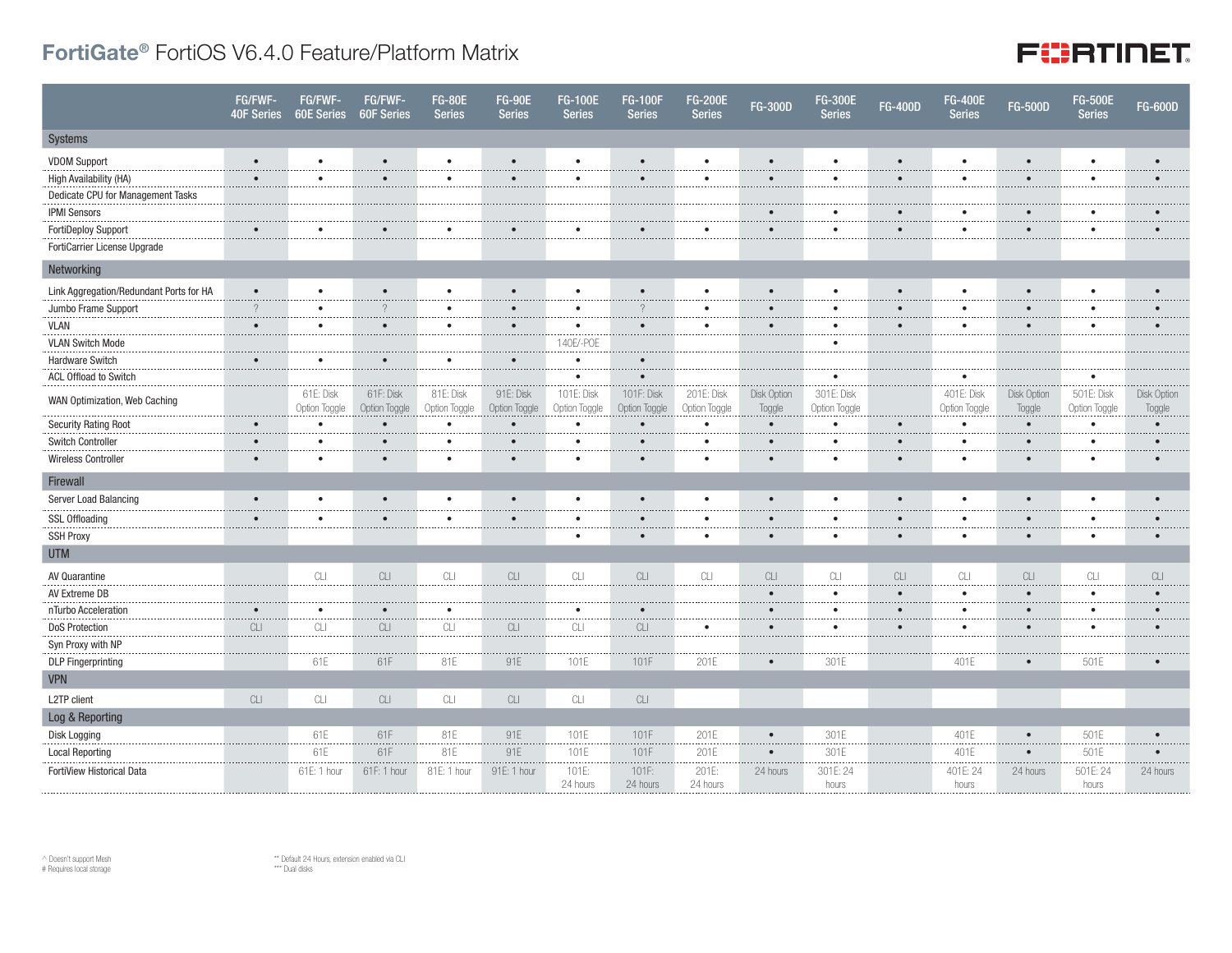## FortiGate® FortiOS V6.4.0 Feature/Platform Matrix

## **FURTINET**

|                                         | FG/FWF-<br><b>40F Series</b> | FG/FWF-<br><b>60E Series</b> | FG/FWF-<br><b>60F Series</b>                                                                 | <b>FG-80E</b><br><b>Series</b> | <b>FG-90E</b><br><b>Series</b>                                                               | <b>FG-100E</b><br><b>Series</b> | <b>FG-100F</b><br><b>Series</b> | <b>FG-200E</b><br><b>Series</b> | <b>FG-300D</b>        | <b>FG-300E</b><br><b>Series</b> | <b>FG-400D</b> | <b>FG-400E</b><br><b>Series</b> | <b>FG-500D</b>        | <b>FG-500E</b><br><b>Series</b> | <b>FG-600D</b>        |
|-----------------------------------------|------------------------------|------------------------------|----------------------------------------------------------------------------------------------|--------------------------------|----------------------------------------------------------------------------------------------|---------------------------------|---------------------------------|---------------------------------|-----------------------|---------------------------------|----------------|---------------------------------|-----------------------|---------------------------------|-----------------------|
| Systems                                 |                              |                              |                                                                                              |                                |                                                                                              |                                 |                                 |                                 |                       |                                 |                |                                 |                       |                                 |                       |
| <b>VDOM Support</b>                     | $\bullet$                    | $\bullet$                    | $\bullet$                                                                                    | $\bullet$                      | $\bullet$                                                                                    | $\bullet$                       | $\bullet$                       | ٠                               | $\bullet$             | $\bullet$                       |                | $\bullet$                       | $\bullet$             | $\bullet$                       | $\bullet$             |
| High Availability (HA)                  | $\bullet$                    | $\bullet$                    | $\bullet$                                                                                    | $\bullet$                      | $\bullet$                                                                                    | $\bullet$                       | $\bullet$                       | $\bullet$                       | $\bullet$             | $\bullet$                       | $\bullet$      | $\bullet$                       | $\bullet$             | $\bullet$                       |                       |
| Dedicate CPU for Management Tasks       |                              |                              |                                                                                              |                                |                                                                                              |                                 |                                 |                                 |                       |                                 |                |                                 |                       |                                 |                       |
| <b>IPMI Sensors</b>                     |                              |                              |                                                                                              |                                |                                                                                              |                                 |                                 |                                 |                       |                                 |                | $\bullet$                       | $\bullet$             |                                 |                       |
| <b>FortiDeploy Support</b>              |                              | $\bullet$                    | $\bullet$                                                                                    | $\bullet$                      | $\bullet$                                                                                    |                                 |                                 | ٠                               | $\bullet$             | $\bullet$                       | $\bullet$      | $\bullet$                       | $\bullet$             | $\bullet$                       | $\bullet$             |
| FortiCarrier License Upgrade            |                              |                              |                                                                                              |                                |                                                                                              |                                 |                                 |                                 |                       |                                 |                |                                 |                       |                                 |                       |
| Networking                              |                              |                              |                                                                                              |                                |                                                                                              |                                 |                                 |                                 |                       |                                 |                |                                 |                       |                                 |                       |
| Link Aggregation/Redundant Ports for HA | $\bullet$                    | $\bullet$                    | $\bullet$                                                                                    | $\bullet$                      | $\bullet$                                                                                    | $\bullet$                       | $\bullet$                       | $\bullet$                       | $\bullet$             |                                 |                | $\bullet$                       | $\bullet$             | $\bullet$                       | $\bullet$             |
| Jumbo Frame Support                     | $\gamma$                     | $\bullet$                    | $\gamma$                                                                                     | $\bullet$                      | $\bullet$                                                                                    | $\bullet$                       | $\gamma$                        | ٠                               | $\bullet$             | $\bullet$                       | $\bullet$      | $\bullet$                       | $\bullet$             | $\bullet$                       |                       |
| <b>VLAN</b>                             | $\bullet$                    | $\bullet$                    | $\bullet$                                                                                    | $\bullet$                      | $\bullet$                                                                                    | $\bullet$                       | $\bullet$                       | ٠                               | $\bullet$             | $\bullet$                       | $\bullet$      | $\bullet$                       | $\bullet$             | $\bullet$                       |                       |
| <b>VLAN Switch Mode</b>                 |                              |                              |                                                                                              |                                |                                                                                              | 140E/-POE                       |                                 |                                 |                       |                                 |                |                                 |                       |                                 |                       |
| Hardware Switch                         |                              |                              | $\bullet$                                                                                    | $\bullet$                      | $\bullet$                                                                                    | $\bullet$                       | $\bullet$                       |                                 |                       |                                 |                |                                 |                       |                                 |                       |
| ACL Offload to Switch                   |                              |                              |                                                                                              |                                |                                                                                              | $\bullet$                       |                                 |                                 |                       | $\bullet$                       |                | $\bullet$                       |                       | $\bullet$                       |                       |
| WAN Optimization, Web Caching           |                              | 61E: Disk<br>Option Toggle   | 61F: Disk<br>Option Toggle                                                                   | 81E: Disk<br>Option Toggle     | 91E: Disk<br>Option Toggle                                                                   | 101E: Disk<br>Option Toggle     | 101F: Disk<br>Option Toggle     | 201E: Disk<br>Option Toggle     | Disk Option<br>Toggle | 301E: Disk<br>Option Toggle     |                | 401E: Disk<br>Option Toggle     | Disk Option<br>Toggle | 501E: Disk<br>Option Toggle     | Disk Option<br>Toggle |
| <b>Security Rating Root</b>             |                              | $\bullet$<br>.               | $\bullet$                                                                                    | $\bullet$<br>.                 | $\bullet$                                                                                    | $\bullet$                       | $\bullet$<br>.                  | ٠<br>.                          | $\bullet$             |                                 |                | $\bullet$<br>.                  | $\bullet$<br>.        | $\bullet$                       |                       |
| Switch Controller                       | $\bullet$                    | $\bullet$<br>.               | $\bullet$                                                                                    | $\bullet$                      | $\bullet$                                                                                    | $\bullet$                       | $\bullet$                       | $\bullet$                       | $\bullet$             | $\bullet$                       | $\bullet$      | $\bullet$<br>.                  | $\bullet$             | $\bullet$                       | $\bullet$             |
| Wireless Controller                     | $\bullet$                    | $\bullet$                    | $\bullet$                                                                                    | $\bullet$                      | $\bullet$                                                                                    |                                 | $\bullet$                       | ٠                               | $\bullet$             | $\bullet$                       |                | $\bullet$                       | $\bullet$             | $\bullet$                       |                       |
| Firewall                                |                              |                              |                                                                                              |                                |                                                                                              |                                 |                                 |                                 |                       |                                 |                |                                 |                       |                                 |                       |
| Server Load Balancing                   | $\bullet$                    | $\bullet$<br>                | $\bullet$                                                                                    | $\bullet$                      | $\bullet$                                                                                    | $\bullet$                       | $\bullet$                       | $\bullet$                       | $\bullet$             | $\bullet$                       |                | $\bullet$<br>                   | $\bullet$             | $\bullet$                       | $\bullet$             |
| <b>SSL Offloading</b>                   |                              | $\bullet$                    | $\bullet$                                                                                    | $\bullet$                      |                                                                                              |                                 |                                 | ٠                               |                       |                                 |                | $\bullet$<br>.                  | $\bullet$             | $\bullet$                       |                       |
| <b>SSH Proxy</b>                        |                              |                              |                                                                                              |                                |                                                                                              |                                 |                                 | ٠                               | $\bullet$             |                                 |                | $\bullet$                       | $\bullet$             | $\bullet$                       | $\bullet$             |
| <b>UTM</b>                              |                              |                              |                                                                                              |                                |                                                                                              |                                 |                                 |                                 |                       |                                 |                |                                 |                       |                                 |                       |
| AV Quarantine                           |                              | CLI                          | CLI                                                                                          | CLI                            | CLI                                                                                          | CL                              | CLI                             | CLI                             | CLI                   | CL<br>.                         | CLI            | CLI                             | CLI                   | CL                              | CLI                   |
| AV Extreme DB                           |                              |                              |                                                                                              |                                |                                                                                              |                                 |                                 |                                 | $\bullet$             | $\bullet$                       |                | $\bullet$<br>.                  | $\cdots$<br>$\bullet$ | .<br>$\bullet$                  |                       |
| nTurbo Acceleration                     | $\bullet$                    | $\bullet$                    | $\bullet$                                                                                    | $\bullet$                      |                                                                                              | $\bullet$                       | $\bullet$                       |                                 | $\bullet$             | $\bullet$                       | $\bullet$      | $\bullet$                       | $\bullet$             | $\bullet$                       |                       |
| <b>DoS Protection</b>                   | CLI                          | CLI                          | $\ensuremath{\mathbb{C}}\xspace\ensuremath{\mathbb{L}}\xspace\ensuremath{\mathbb{L}}\xspace$ | CLI                            | $\ensuremath{\mathbb{C}}\xspace\ensuremath{\mathbb{L}}\xspace\ensuremath{\mathbb{I}}\xspace$ | CL                              | CLI                             | ٠                               | $\bullet$             | $\bullet$                       | $\bullet$      | $\bullet$                       | $\bullet$             | $\bullet$                       |                       |
| Syn Proxy with NP                       |                              |                              | .                                                                                            |                                |                                                                                              |                                 |                                 |                                 |                       |                                 |                |                                 |                       |                                 |                       |
| <b>DLP</b> Fingerprinting               |                              | 61E                          | 61F                                                                                          | 81E                            | 91E                                                                                          | 101E                            | 101F                            | 201E                            |                       | 301E                            |                | 401E                            | $\bullet$             | 501E                            |                       |
| <b>VPN</b>                              |                              |                              |                                                                                              |                                |                                                                                              |                                 |                                 |                                 |                       |                                 |                |                                 |                       |                                 |                       |
| L2TP client                             | CLI                          | CLI                          | CLI                                                                                          | CLI                            | CLI                                                                                          | CLI                             | CLI                             |                                 |                       |                                 |                |                                 |                       |                                 |                       |
| Log & Reporting                         |                              |                              |                                                                                              |                                |                                                                                              |                                 |                                 |                                 |                       |                                 |                |                                 |                       |                                 |                       |
| Disk Logging                            |                              | 61E                          | 61F                                                                                          | 81E                            | 91E                                                                                          | 101E                            | 101F                            | 201E                            | $\bullet$             | 301E                            |                | 401E                            | $\bullet$             | 501E                            | $\bullet$             |
| <b>Local Reporting</b>                  |                              | 61E                          | 61F                                                                                          | 81E                            | 91E                                                                                          | 101E                            | 101F                            | 201E                            | $\bullet$             | 301E                            |                | 401E                            | $\bullet$             | 501E                            |                       |
| FortiView Historical Data               |                              | 61E: 1 hour                  | 61F: 1 hour                                                                                  | 81E: 1 hour                    | 91E: 1 hour                                                                                  | 101E:<br>24 hours               | 101F:<br>24 hours               | 201E:<br>24 hours               | 24 hours              | 301E: 24<br>hours               |                | 401E: 24<br>hours               | 24 hours              | 501E: 24<br>hours               | 24 hours              |

 $\land$  Doesn't support Mesh # Requires local storage

\*\* Default 24 Hours, extension enabled via CLI \*\*\* Dual disks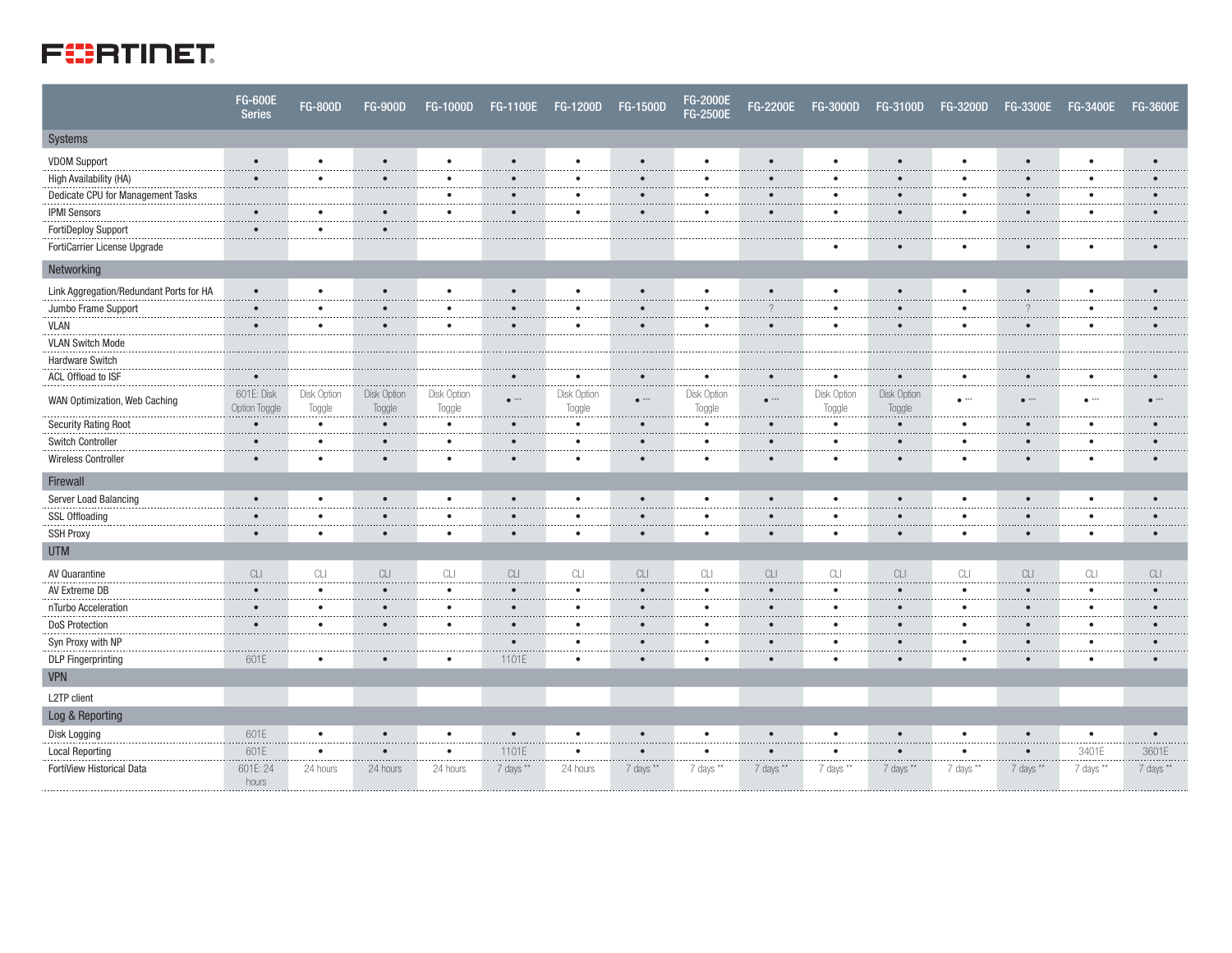

|                                         | <b>FG-600E</b><br><b>Series</b> | <b>FG-800D</b>                                                                               | <b>FG-900D</b>                                                                               | <b>FG-1000D</b>             | <b>FG-1100E</b> | <b>FG-1200D</b>       | <b>FG-1500D</b>                                                                              | FG-2000E<br><b>FG-2500E</b> | <b>FG-2200E</b> | <b>FG-3000D</b>       | <b>FG-3100D</b>       | <b>FG-3200D</b>                                                                              | <b>FG-3300E</b>                                                                              | <b>FG-3400E</b>     | <b>FG-3600E</b>                                                                              |
|-----------------------------------------|---------------------------------|----------------------------------------------------------------------------------------------|----------------------------------------------------------------------------------------------|-----------------------------|-----------------|-----------------------|----------------------------------------------------------------------------------------------|-----------------------------|-----------------|-----------------------|-----------------------|----------------------------------------------------------------------------------------------|----------------------------------------------------------------------------------------------|---------------------|----------------------------------------------------------------------------------------------|
| Systems                                 |                                 |                                                                                              |                                                                                              |                             |                 |                       |                                                                                              |                             |                 |                       |                       |                                                                                              |                                                                                              |                     |                                                                                              |
| <b>VDOM Support</b>                     | $\bullet$                       | $\bullet$                                                                                    | $\bullet$                                                                                    | $\bullet$                   | $\bullet$       | $\bullet$             |                                                                                              | $\bullet$                   | $\bullet$       | $\bullet$             | $\bullet$             | $\bullet$                                                                                    | $\bullet$                                                                                    | $\bullet$           | $\bullet$                                                                                    |
| High Availability (HA)                  | $\bullet$                       | $\bullet$                                                                                    | $\bullet$                                                                                    | $\bullet$                   | $\bullet$       | $\bullet$             | $\bullet$                                                                                    | $\bullet$                   | $\bullet$       | $\bullet$             | $\bullet$             | $\bullet$                                                                                    | $\bullet$                                                                                    | $\bullet$           | $\bullet$                                                                                    |
| Dedicate CPU for Management Tasks       |                                 |                                                                                              |                                                                                              | $\bullet$<br>.              | $\bullet$<br>.  | $\bullet$<br>.        | $\bullet$<br>.                                                                               | $\bullet$<br>.              | $\bullet$<br>.  | ٠<br>.                | $\bullet$<br>.        | $\bullet$<br>.                                                                               | $\bullet$<br>.                                                                               | $\bullet$<br>.      | $\bullet$<br>.                                                                               |
| <b>IPMI Sensors</b>                     | $\bullet$                       | $\bullet$                                                                                    | $\bullet$<br>1.1.1.1                                                                         | $\bullet$<br>$\overline{a}$ | $\bullet$       | $\bullet$             | $\bullet$                                                                                    | $\bullet$                   | $\bullet$       | $\bullet$             | $\bullet$             | $\bullet$                                                                                    | $\bullet$                                                                                    | $\bullet$           | $\bullet$                                                                                    |
| <b>FortiDeploy Support</b>              | $\bullet$<br>.                  | $\bullet$<br>.                                                                               | $\bullet$<br>.                                                                               |                             |                 |                       |                                                                                              |                             |                 |                       |                       |                                                                                              |                                                                                              |                     |                                                                                              |
| FortiCarrier License Upgrade            |                                 |                                                                                              |                                                                                              |                             |                 |                       |                                                                                              |                             |                 |                       |                       |                                                                                              | $\bullet$                                                                                    |                     |                                                                                              |
| Networking                              |                                 |                                                                                              |                                                                                              |                             |                 |                       |                                                                                              |                             |                 |                       |                       |                                                                                              |                                                                                              |                     |                                                                                              |
| Link Aggregation/Redundant Ports for HA | $\bullet$                       | $\bullet$                                                                                    | $\bullet$                                                                                    | $\bullet$                   | $\bullet$       | $\bullet$             | $\bullet$                                                                                    | $\bullet$                   | $\bullet$       | ٠                     | $\bullet$             | $\bullet$                                                                                    | $\bullet$                                                                                    | $\bullet$           | $\bullet$                                                                                    |
| Jumbo Frame Support                     | $\bullet$<br>.                  | $\bullet$<br>.                                                                               | $\bullet$<br>.                                                                               | $\bullet$<br>.              | $\bullet$<br>.  | $\bullet$<br>         | $\bullet$<br>.                                                                               | $\bullet$<br>.              | $\gamma$<br>.   | $\bullet$             | $\bullet$<br>.        | $\bullet$<br>.                                                                               | $\overline{?}$<br>.                                                                          | $\bullet$<br>.      | $\bullet$<br>.                                                                               |
| <b>VLAN</b>                             | $\bullet$                       | $\bullet$                                                                                    | $\bullet$                                                                                    | $\bullet$<br>.              | $\bullet$       | $\bullet$             | $\bullet$                                                                                    | $\bullet$                   | $\bullet$       | ٠                     | $\bullet$             | $\bullet$                                                                                    | $\bullet$                                                                                    | $\bullet$           | $\bullet$                                                                                    |
| <b>VLAN Switch Mode</b>                 |                                 |                                                                                              |                                                                                              |                             |                 |                       |                                                                                              |                             |                 |                       |                       |                                                                                              |                                                                                              |                     |                                                                                              |
| Hardware Switch                         |                                 |                                                                                              |                                                                                              |                             |                 |                       |                                                                                              |                             |                 |                       |                       |                                                                                              |                                                                                              |                     |                                                                                              |
| ACL Offload to ISF                      | $\bullet$                       |                                                                                              |                                                                                              |                             | $\bullet$       | $\bullet$             | $\bullet$                                                                                    | $\bullet$                   | $\bullet$       | $\bullet$             | $\bullet$             | $\bullet$                                                                                    | $\bullet$                                                                                    | $\bullet$           | $\bullet$                                                                                    |
| WAN Optimization, Web Caching           | 601E: Disk<br>Option Toggle     | Disk Option<br>Toggle                                                                        | Disk Option<br>Toggle                                                                        | Disk Option<br>Toggle       | $\bullet$ ***   | Disk Option<br>Toggle | $e^{-x+x}$                                                                                   | Disk Option<br>Toggle       | $e^{-x+x}$      | Disk Option<br>Toggle | Disk Option<br>Toggle | $\bullet$ ***                                                                                | $\bullet$ ***                                                                                | $\bullet$ ***       | $e^{-\lambda x x}$                                                                           |
| <b>Security Rating Root</b>             | $\bullet$                       | $\bullet$<br>                                                                                | $\bullet$                                                                                    | $\bullet$                   | $\bullet$       | $\bullet$             | $\bullet$                                                                                    | $\bullet$                   | $\bullet$       | $\bullet$             | $\bullet$             | $\bullet$                                                                                    | $\bullet$                                                                                    | $\bullet$           | $\bullet$                                                                                    |
| Switch Controller                       | $\bullet$                       | $\bullet$<br>.                                                                               | $\bullet$                                                                                    | $\bullet$<br>$\sim$ $\sim$  | $\bullet$       | $\bullet$             | $\bullet$                                                                                    | $\bullet$                   | $\bullet$       | $\bullet$             | $\bullet$             | $\bullet$                                                                                    | $\bullet$                                                                                    | $\bullet$           | $\bullet$                                                                                    |
| <b>Wireless Controller</b>              | $\bullet$                       | $\bullet$                                                                                    | $\bullet$                                                                                    | $\bullet$                   | $\bullet$       | $\bullet$             |                                                                                              | $\bullet$                   | $\bullet$       | ٠                     | $\bullet$             | $\bullet$                                                                                    | $\bullet$                                                                                    | $\bullet$           | $\bullet$                                                                                    |
| Firewall                                |                                 |                                                                                              |                                                                                              |                             |                 |                       |                                                                                              |                             |                 |                       |                       |                                                                                              |                                                                                              |                     |                                                                                              |
| Server Load Balancing                   | $\bullet$                       | $\bullet$                                                                                    | $\bullet$                                                                                    | $\bullet$                   | $\bullet$       | $\bullet$             | $\bullet$                                                                                    | $\bullet$                   | $\bullet$       | $\bullet$             | $\bullet$             | $\bullet$                                                                                    | $\bullet$                                                                                    | $\bullet$           | $\bullet$                                                                                    |
| <b>SSL Offloading</b>                   | $\bullet$                       | $\bullet$                                                                                    | $\bullet$                                                                                    | $\bullet$                   | $\bullet$       | $\bullet$             | $\bullet$                                                                                    | $\bullet$                   | $\bullet$       | ٠                     | $\bullet$             | $\bullet$                                                                                    | $\bullet$                                                                                    | $\bullet$           | $\bullet$                                                                                    |
| <b>SSH Proxy</b>                        | $\bullet$                       | $\bullet$                                                                                    | $\bullet$                                                                                    | $\bullet$                   | $\bullet$       | $\bullet$             | $\bullet$                                                                                    | $\bullet$                   | $\bullet$       | ٠                     | $\bullet$             | $\bullet$                                                                                    | $\bullet$                                                                                    | $\bullet$           | $\bullet$                                                                                    |
| <b>UTM</b>                              |                                 |                                                                                              |                                                                                              |                             |                 |                       |                                                                                              |                             |                 |                       |                       |                                                                                              |                                                                                              |                     |                                                                                              |
| AV Quarantine                           | CLI                             | $\ensuremath{\mathbb{C}}\xspace\ensuremath{\mathbb{L}}\xspace\ensuremath{\mathbb{L}}\xspace$ | $\ensuremath{\mathbb{C}}\xspace\ensuremath{\mathbb{L}}\xspace\ensuremath{\mathbb{L}}\xspace$ | CLI                         | CLI             | CLI                   | $\ensuremath{\mathbb{C}}\xspace\ensuremath{\mathbb{L}}\xspace\ensuremath{\mathbb{L}}\xspace$ | CLI                         | CLI             | CLI                   | CLI                   | $\ensuremath{\mathbb{C}}\xspace\ensuremath{\mathbb{L}}\xspace\ensuremath{\mathbb{L}}\xspace$ | $\ensuremath{\mathbb{C}}\xspace\ensuremath{\mathbb{L}}\xspace\ensuremath{\mathbb{L}}\xspace$ | CL                  | $\ensuremath{\mathbb{C}}\xspace\ensuremath{\mathbb{L}}\xspace\ensuremath{\mathbb{L}}\xspace$ |
| AV Extreme DB                           | $\bullet$<br>.                  | $\bullet$<br>.                                                                               | $\bullet$<br>.                                                                               | $\bullet$<br>$\cdots$       | $\bullet$       | $\bullet$             | $\bullet$<br>$\cdots$                                                                        | $\bullet$                   | $\bullet$       | $\bullet$             | $\bullet$<br>.        | $\bullet$<br>$\cdots$                                                                        | $\bullet$<br>.                                                                               | $\bullet$<br>المحاد | $\bullet$                                                                                    |
| nTurbo Acceleration                     | $\bullet$<br>.                  | $\bullet$<br>.                                                                               | $\bullet$<br>.                                                                               | $\bullet$<br>.              | $\bullet$       | $\bullet$             | $\bullet$                                                                                    | $\bullet$                   | $\bullet$       | ٠                     | $\bullet$             | $\bullet$<br>                                                                                | $\bullet$<br>.                                                                               | $\bullet$<br>       | $\bullet$                                                                                    |
| <b>DoS Protection</b>                   | $\bullet$                       | $\bullet$<br>.                                                                               | $\bullet$<br>1.1111                                                                          | $\bullet$<br>$\cdots$       | $\bullet$       | $\bullet$<br>.        | $\bullet$<br>.                                                                               | $\bullet$<br>.              | $\bullet$<br>.  | ٠                     | $\bullet$<br>.        | $\bullet$<br>.                                                                               | $\bullet$<br>.                                                                               | $\bullet$<br>       | $\bullet$                                                                                    |
| Syn Proxy with NP                       |                                 |                                                                                              |                                                                                              | .                           | $\bullet$       | $\bullet$             |                                                                                              | ٠                           | $\bullet$       | ٠                     | $\bullet$             | 1.1.1.1                                                                                      | $\bullet$                                                                                    | $\bullet$           |                                                                                              |
| <b>DLP</b> Fingerprinting               | 601E                            | $\bullet$                                                                                    | $\bullet$                                                                                    | $\bullet$                   | 1101E           | $\bullet$             | $\bullet$                                                                                    | $\bullet$                   | $\bullet$       | ٠                     | $\bullet$             | $\bullet$                                                                                    | $\bullet$                                                                                    | $\bullet$           |                                                                                              |
| <b>VPN</b>                              |                                 |                                                                                              |                                                                                              |                             |                 |                       |                                                                                              |                             |                 |                       |                       |                                                                                              |                                                                                              |                     |                                                                                              |
| L2TP client                             |                                 |                                                                                              |                                                                                              |                             |                 |                       |                                                                                              |                             |                 |                       |                       |                                                                                              |                                                                                              |                     |                                                                                              |
| Log & Reporting                         |                                 |                                                                                              |                                                                                              |                             |                 |                       |                                                                                              |                             |                 |                       |                       |                                                                                              |                                                                                              |                     |                                                                                              |
| Disk Logging                            | 601E                            | $\bullet$                                                                                    | $\bullet$                                                                                    | $\bullet$                   | $\bullet$       | $\bullet$             | $\bullet$                                                                                    | $\bullet$                   | $\bullet$       | $\bullet$             | $\bullet$             | $\bullet$                                                                                    | $\bullet$                                                                                    | $\bullet$           | $\bullet$<br>.                                                                               |
| <b>Local Reporting</b>                  | 601E                            | $\bullet$                                                                                    | $\bullet$                                                                                    | $\bullet$                   | 1101E           | $\bullet$             | $\bullet$                                                                                    | $\bullet$                   | $\bullet$       | ٠                     | $\bullet$             | $\bullet$                                                                                    | $\bullet$                                                                                    | 3401E               | 3601E                                                                                        |
| FortiView Historical Data               | 601E: 24<br>hours               | 24 hours                                                                                     | 24 hours                                                                                     | 24 hours                    | 7 days **       | 24 hours              | 7 days **                                                                                    | 7 days **                   | 7 days **       | 7 days **             | 7 days **             | 7 days **                                                                                    | 7 days **                                                                                    | 7 days **           | 7 days **                                                                                    |